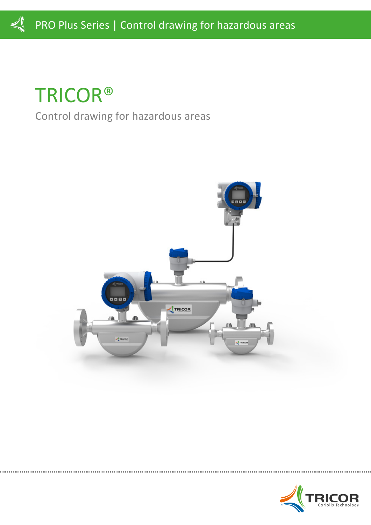TRICOR® Control drawing for hazardous areas



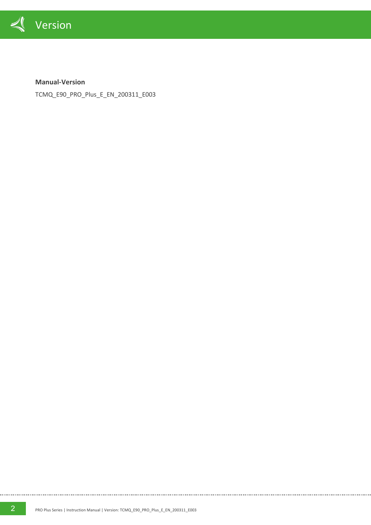

**Manual-Version**

TCMQ\_E90\_PRO\_Plus\_E\_EN\_200311\_E003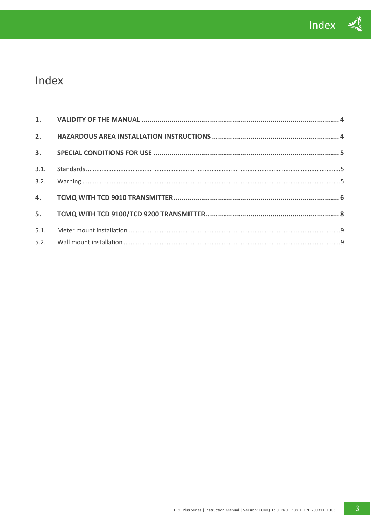

# Index

| 5.1. |  |
|------|--|
|      |  |

. . . . . . . . . . .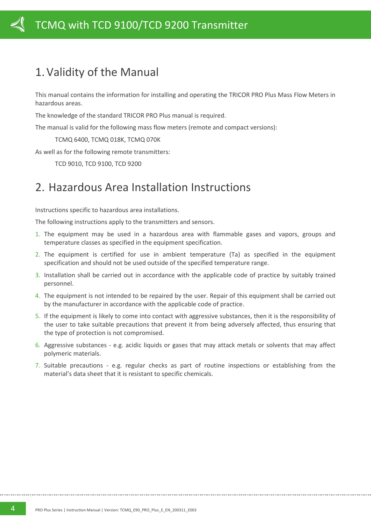# <span id="page-3-0"></span>1.Validity of the Manual

This manual contains the information for installing and operating the TRICOR PRO Plus Mass Flow Meters in hazardous areas.

The knowledge of the standard TRICOR PRO Plus manual is required.

The manual is valid for the following mass flow meters (remote and compact versions):

TCMQ 6400, TCMQ 018K, TCMQ 070K

As well as for the following remote transmitters:

TCD 9010, TCD 9100, TCD 9200

# <span id="page-3-1"></span>2. Hazardous Area Installation Instructions

Instructions specific to hazardous area installations.

The following instructions apply to the transmitters and sensors.

- 1. The equipment may be used in a hazardous area with flammable gases and vapors, groups and temperature classes as specified in the equipment specification.
- 2. The equipment is certified for use in ambient temperature (Ta) as specified in the equipment specification and should not be used outside of the specified temperature range.
- 3. Installation shall be carried out in accordance with the applicable code of practice by suitably trained personnel.
- 4. The equipment is not intended to be repaired by the user. Repair of this equipment shall be carried out by the manufacturer in accordance with the applicable code of practice.
- 5. If the equipment is likely to come into contact with aggressive substances, then it is the responsibility of the user to take suitable precautions that prevent it from being adversely affected, thus ensuring that the type of protection is not compromised.
- 6. Aggressive substances e.g. acidic liquids or gases that may attack metals or solvents that may affect polymeric materials.
- 7. Suitable precautions e.g. regular checks as part of routine inspections or establishing from the material's data sheet that it is resistant to specific chemicals.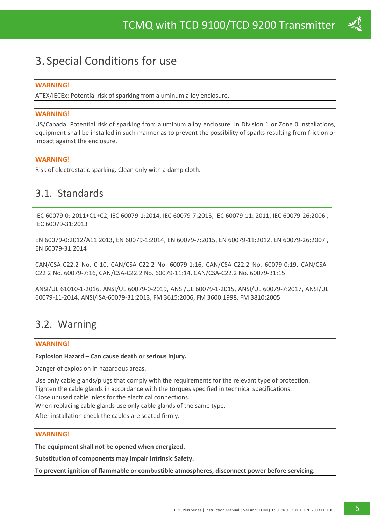# <span id="page-4-0"></span>3. Special Conditions for use

### **WARNING!**

ATEX/IECEx: Potential risk of sparking from aluminum alloy enclosure.

#### **WARNING!**

US/Canada: Potential risk of sparking from aluminum alloy enclosure. In Division 1 or Zone 0 installations, equipment shall be installed in such manner as to prevent the possibility of sparks resulting from friction or impact against the enclosure.

#### **WARNING!**

Risk of electrostatic sparking. Clean only with a damp cloth.

### <span id="page-4-1"></span>3.1. Standards

IEC 60079-0: 2011+C1+C2, IEC 60079-1:2014, IEC 60079-7:2015, IEC 60079-11: 2011, IEC 60079-26:2006 , IEC 60079-31:2013

EN 60079-0:2012/A11:2013, EN 60079-1:2014, EN 60079-7:2015, EN 60079-11:2012, EN 60079-26:2007 , EN 60079-31:2014

CAN/CSA-C22.2 No. 0-10, CAN/CSA-C22.2 No. 60079-1:16, CAN/CSA-C22.2 No. 60079-0:19, CAN/CSA-C22.2 No. 60079-7:16, CAN/CSA-C22.2 No. 60079-11:14, CAN/CSA-C22.2 No. 60079-31:15

ANSI/UL 61010-1-2016, ANSI/UL 60079-0-2019, ANSI/UL 60079-1-2015, ANSI/UL 60079-7:2017, ANSI/UL 60079-11-2014, ANSI/ISA-60079-31:2013, FM 3615:2006, FM 3600:1998, FM 3810:2005

### <span id="page-4-2"></span>3.2. Warning

#### **WARNING!**

#### **Explosion Hazard – Can cause death or serious injury.**

Danger of explosion in hazardous areas.

Use only cable glands/plugs that comply with the requirements for the relevant type of protection. Tighten the cable glands in accordance with the torques specified in technical specifications. Close unused cable inlets for the electrical connections. When replacing cable glands use only cable glands of the same type.

After installation check the cables are seated firmly.

### **WARNING!**

**The equipment shall not be opened when energized.**

**Substitution of components may impair Intrinsic Safety.**

**To prevent ignition of flammable or combustible atmospheres, disconnect power before servicing.**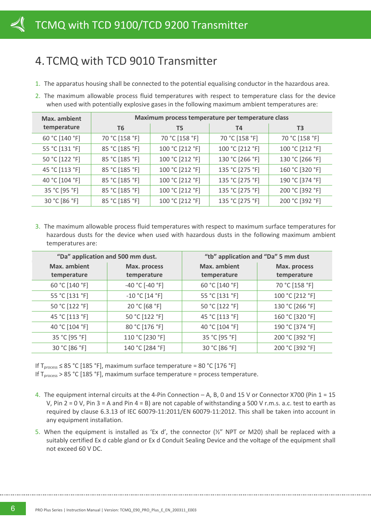# <span id="page-5-0"></span>4. TCMQ with TCD 9010 Transmitter

- 1. The apparatus housing shall be connected to the potential equalising conductor in the hazardous area.
- 2. The maximum allowable process fluid temperatures with respect to temperature class for the device when used with potentially explosive gases in the following maximum ambient temperatures are:

| Max. ambient   | Maximum process temperature per temperature class |                 |                 |                 |  |  |  |  |
|----------------|---------------------------------------------------|-----------------|-----------------|-----------------|--|--|--|--|
| temperature    | T6                                                | T5              | T4              | T <sub>3</sub>  |  |  |  |  |
| 60 °C [140 °F] | 70 °C [158 °F]                                    | 70 °C [158 °F]  | 70 °C [158 °F]  | 70 °C [158 °F]  |  |  |  |  |
| 55 °C [131 °F] | 85 °C [185 °F]                                    | 100 °C [212 °F] | 100 °C [212 °F] | 100 °C [212 °F] |  |  |  |  |
| 50 °C [122 °F] | 85 °C [185 °F]                                    | 100 °C [212 °F] | 130 °C [266 °F] | 130 °C [266 °F] |  |  |  |  |
| 45 °C [113 °F] | 85 °C [185 °F]                                    | 100 °C [212 °F] | 135 °C [275 °F] | 160 °C [320 °F] |  |  |  |  |
| 40 °C [104 °F] | 85 °C [185 °F]                                    | 100 °C [212 °F] | 135 °C [275 °F] | 190 °C [374 °F] |  |  |  |  |
| 35 °C [95 °F]  | 85 °C [185 °F]                                    | 100 °C [212 °F] | 135 °C [275 °F] | 200 °C [392 °F] |  |  |  |  |
| 30 °C [86 °F]  | 85 °C [185 °F]                                    | 100 °C [212 °F] | 135 °C [275 °F] | 200 °C [392 °F] |  |  |  |  |

3. The maximum allowable process fluid temperatures with respect to maximum surface temperatures for hazardous dusts for the device when used with hazardous dusts in the following maximum ambient temperatures are:

|                | "Da" application and 500 mm dust. | "tb" application and "Da" 5 mm dust |                 |  |  |  |
|----------------|-----------------------------------|-------------------------------------|-----------------|--|--|--|
| Max. ambient   | Max. process                      |                                     | Max. process    |  |  |  |
| temperature    | temperature                       | temperature                         | temperature     |  |  |  |
| 60 °C [140 °F] | $-40 °C$ [-40 °F]                 | 60 °C [140 °F]                      | 70 °C [158 °F]  |  |  |  |
| 55 °C [131 °F] | $-10 °C$ [14 °F]                  | 55 °C [131 °F]                      | 100 °C [212 °F] |  |  |  |
| 50 °C [122 °F] | 20 °C [68 °F]                     | 50 °C [122 °F]                      | 130 °C [266 °F] |  |  |  |
| 45 °C [113 °F] | 50 °C [122 °F]                    | 45 °C [113 °F]                      | 160 °C [320 °F] |  |  |  |
| 40 °C [104 °F] | 80 °C [176 °F]                    | 40 °C [104 °F]                      | 190 °C [374 °F] |  |  |  |
| 35 °C [95 °F]  | 110 °C [230 °F]                   | 35 °C [95 °F]                       | 200 °C [392 °F] |  |  |  |
| 30 °C [86 °F]  | 140 °C [284 °F]                   | 30 °C [86 °F]                       | 200 °C [392 °F] |  |  |  |

If Tprocess ≤ 85 °C [185 °F], maximum surface temperature = 80 °C [176 °F]

If Tprocess > 85 °C [185 °F], maximum surface temperature = process temperature.

- 4. The equipment internal circuits at the 4-Pin Connection A, B, 0 and 15 V or Connector X700 (Pin 1 = 15 V, Pin  $2 = 0$  V, Pin  $3 = A$  and Pin  $4 = B$ ) are not capable of withstanding a 500 V r.m.s. a.c. test to earth as required by clause 6.3.13 of IEC 60079-11:2011/EN 60079-11:2012. This shall be taken into account in any equipment installation.
- 5. When the equipment is installed as 'Ex d', the connector  $(\frac{1}{2}$ " NPT or M20) shall be replaced with a suitably certified Ex d cable gland or Ex d Conduit Sealing Device and the voltage of the equipment shall not exceed 60 V DC.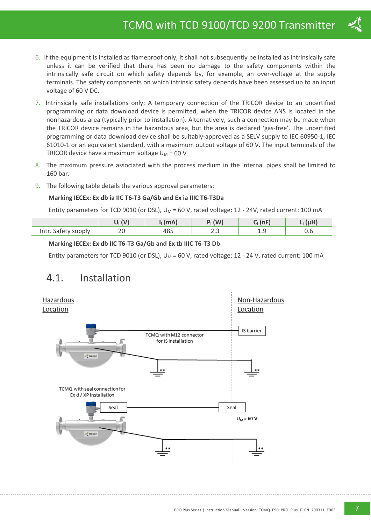- 6. If the equipment is installed as flameproof only, it shall not subsequently be installed as intrinsically safe unless it can be verified that there has been no damage to the safety components within the intrinsically safe circuit on which safety depends by, for example, an over-voltage at the supply terminals. The safety components on which intrinsic safety depends have been assessed up to an input voltage of 60 V DC.
- 7. Intrinsically safe installations only: A temporary connection of the TRICOR device to an uncertified programming or data download device is permitted, when the TRICOR device ANS is located in the nonhazardous area (typically prior to installation). Alternatively, such a connection may be made when the TRICOR device remains in the hazardous area, but the area is declared 'gas-free'. The uncertified programming or data download device shall be suitably-approved as a SELV supply to IEC 60950-1, IEC 61010-1 or an equivalent standard, with a maximum output voltage of 60 V. The input terminals of the TRICOR device have a maximum voltage  $U_M$  = 60 V.
- 8. The maximum pressure associated with the process medium in the internal pipes shall be limited to 160 bar.
- 9. The following table details the various approval parameters:

### **Marking IECEx: Ex db ia IIC T6-T3 Ga/Gb and Ex ia IIIC T6-T3Da**

Entity parameters for TCD 9010 (or DSL),  $U_M$  = 60 V, rated voltage: 12 - 24V, rated current: 100 mA

|                     |    | (mA)          | $P_i$ (W) | $I - F$ |  |  |
|---------------------|----|---------------|-----------|---------|--|--|
| Intr. Safety supply | ZU | 4 O.E.<br>403 | ں ، ے     |         |  |  |

### **Marking IECEx: Ex db IIC T6-T3 Ga/Gb and Ex tb IIIC T6-T3 Db**

Entity parameters for TCD 9010 (or DSL),  $U_M$  = 60 V, rated voltage: 12 - 24 V, rated current: 100 mA

### 4.1. Installation

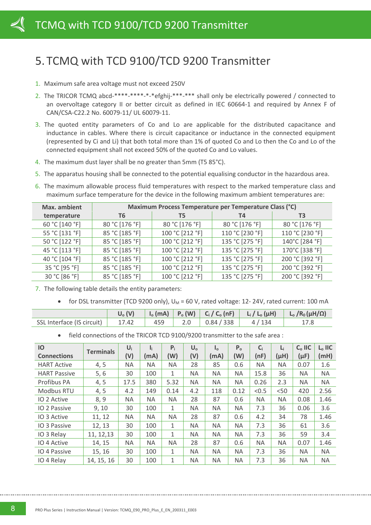# <span id="page-7-0"></span>5. TCMQ with TCD 9100/TCD 9200 Transmitter

- 1. Maximum safe area voltage must not exceed 250V
- 2. The TRICOR TCMQ abcd-\*\*\*\*-\*\*\*\*-\*-\*efghij-\*\*\*-\*\*\* shall only be electrically powered / connected to an overvoltage category II or better circuit as defined in IEC 60664-1 and required by Annex F of CAN/CSA-C22.2 No. 60079-11/ UL 60079-11.
- 3. The quoted entity parameters of Co and Lo are applicable for the distributed capacitance and inductance in cables. Where there is circuit capacitance or inductance in the connected equipment (represented by Ci and Li) that both total more than 1% of quoted Co and Lo then the Co and Lo of the connected equipment shall not exceed 50% of the quoted Co and Lo values.
- 4. The maximum dust layer shall be no greater than 5mm (T5 85°C).
- 5. The apparatus housing shall be connected to the potential equalising conductor in the hazardous area.
- 6. The maximum allowable process fluid temperatures with respect to the marked temperature class and maximum surface temperature for the device in the following maximum ambient temperatures are:

| Max. ambient   | Maximum Process Temperature per Temperature Class (°C) |                 |                 |                 |  |  |  |  |
|----------------|--------------------------------------------------------|-----------------|-----------------|-----------------|--|--|--|--|
| temperature    | T6                                                     | T5              | Т4              | T3              |  |  |  |  |
| 60 °C [140 °F] | 80 °C [176 °F]                                         | 80 °C [176 °F]  | 80 °C [176 °F]  | 80 °C [176 °F]  |  |  |  |  |
| 55 °C [131 °F] | 85 °C [185 °F]                                         | 100 °C [212 °F] | 110 °C [230 °F] | 110 °C [230 °F] |  |  |  |  |
| 50 °C [122 °F] | 85 °C [185 °F]                                         | 100 °C [212 °F] | 135 °C [275 °F] | 140°C [284 °F]  |  |  |  |  |
| 45 °C [113 °F] | 85 °C [185 °F]                                         | 100 °C [212 °F] | 135 °C [275 °F] | 170°C [338 °F]  |  |  |  |  |
| 40 °C [104 °F] | 85 °C [185 °F]                                         | 100 °C [212 °F] | 135 °C [275 °F] | 200 °C [392 °F] |  |  |  |  |
| 35 °C [95 °F]  | 85 °C [185 °F]                                         | 100 °C [212 °F] | 135 °C [275 °F] | 200 °C [392 °F] |  |  |  |  |
| 30 °C [86 °F]  | 85 °C [185 °F]                                         | 100 °C [212 °F] | 135 °C [275 °F] | 200 °C [392 °F] |  |  |  |  |

- 7. The following table details the entity parameters:
	- for DSL transmitter (TCD 9200 only),  $U_M$  = 60 V, rated voltage: 12-24V, rated current: 100 mA

|                            | $U_0(V)$ |     |                |         | $\vert$ I <sub>o</sub> (mA) $\vert$ P <sub>o</sub> (W) $\vert$ C <sub>i</sub> / C <sub>o</sub> (nF) $\vert$ L <sub>i</sub> / L <sub>o</sub> ( $\mu$ H) $\vert$ L <sub>o</sub> /R <sub>0</sub> ( $\mu$ H/ $\Omega$ ) |
|----------------------------|----------|-----|----------------|---------|---------------------------------------------------------------------------------------------------------------------------------------------------------------------------------------------------------------------|
| SSL Interface (IS circuit) | 17.42    | 459 | 2.0 0.84/338 0 | 4 / 134 |                                                                                                                                                                                                                     |

• field connections of the TRICOR TCD 9100/9200 transmitter to the safe area :

| IO                  |                  | $U_i$ | l:        | $P_i$        | $U_{o}$   | $I_{\alpha}$ | P <sub>o</sub> | $C_i$     | $L_i$     | $Co$ IIC  | $L_0$ IIC |
|---------------------|------------------|-------|-----------|--------------|-----------|--------------|----------------|-----------|-----------|-----------|-----------|
| <b>Connections</b>  | <b>Terminals</b> | (V)   | (mA)      | (W)          | (V)       | (mA)         | (W)            | (nF)      | (µH)      | $(\mu F)$ | (mH)      |
| <b>HART Active</b>  | 4, 5             | ΝA    | <b>NA</b> | <b>NA</b>    | 28        | 85           | 0.6            | <b>NA</b> | <b>NA</b> | 0.07      | 1.6       |
| <b>HART Passive</b> | 5, 6             | 30    | 100       | $\mathbf{1}$ | NA.       | <b>NA</b>    | ΝA             | 15.8      | 36        | NA.       | <b>NA</b> |
| Profibus PA         | 4, 5             | 17.5  | 380       | 5.32         | <b>NA</b> | <b>NA</b>    | ΝA             | 0.26      | 2.3       | <b>NA</b> | <b>NA</b> |
| Modbus RTU          | 4, 5             | 4.2   | 149       | 0.14         | 4.2       | 118          | 0.12           | < 0.5     | < 50      | 420       | 2.56      |
| IO 2 Active         | 8,9              | ΝA    | <b>NA</b> | NA.          | 28        | 87           | 0.6            | <b>NA</b> | <b>NA</b> | 0.08      | 1.46      |
| IO 2 Passive        | 9, 10            | 30    | 100       | $\mathbf{1}$ | <b>NA</b> | <b>NA</b>    | ΝA             | 7.3       | 36        | 0.06      | 3.6       |
| IO 3 Active         | 11, 12           | ΝA    | <b>NA</b> | <b>NA</b>    | 28        | 87           | 0.6            | 4.2       | 34        | 78        | 1.46      |
| IO 3 Passive        | 12, 13           | 30    | 100       | $\mathbf{1}$ | NA.       | <b>NA</b>    | ΝA             | 7.3       | 36        | 61        | 3.6       |
| IO 3 Relay          | 11, 12, 13       | 30    | 100       | $\mathbf{1}$ | NA.       | <b>NA</b>    | ΝA             | 7.3       | 36        | 59        | 3.4       |
| IO 4 Active         | 14, 15           | ΝA    | <b>NA</b> | <b>NA</b>    | 28        | 87           | 0.6            | <b>NA</b> | <b>NA</b> | 0.07      | 1.46      |
| IO 4 Passive        | 15, 16           | 30    | 100       | $\mathbf{1}$ | NA.       | <b>NA</b>    | <b>NA</b>      | 7.3       | 36        | <b>NA</b> | <b>NA</b> |
| IO 4 Relay          | 14, 15, 16       | 30    | 100       | $\mathbf{1}$ | NA.       | <b>NA</b>    | ΝA             | 7.3       | 36        | ΝA        | <b>NA</b> |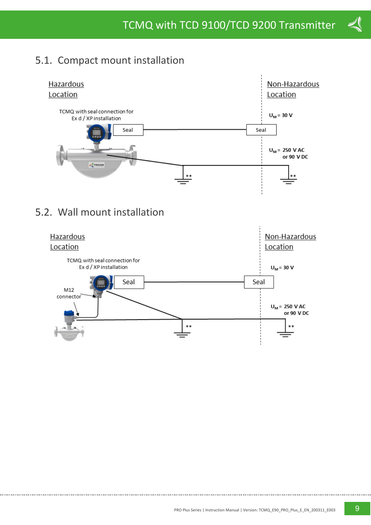## <span id="page-8-0"></span>5.1. Compact mount installation



## <span id="page-8-1"></span>5.2. Wall mount installation



 $\blacktriangleleft$